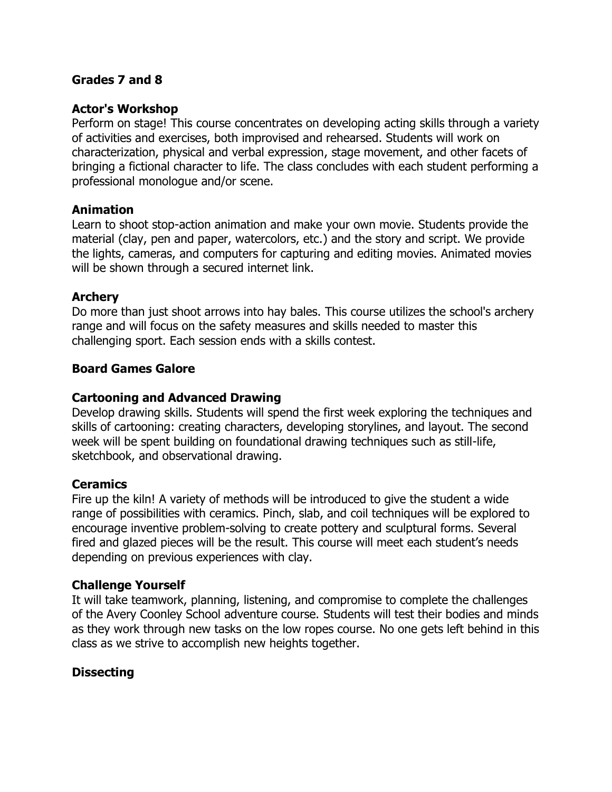#### **Grades 7 and 8**

#### **Actor's Workshop**

Perform on stage! This course concentrates on developing acting skills through a variety of activities and exercises, both improvised and rehearsed. Students will work on characterization, physical and verbal expression, stage movement, and other facets of bringing a fictional character to life. The class concludes with each student performing a professional monologue and/or scene.

#### **Animation**

Learn to shoot stop-action animation and make your own movie. Students provide the material (clay, pen and paper, watercolors, etc.) and the story and script. We provide the lights, cameras, and computers for capturing and editing movies. Animated movies will be shown through a secured internet link.

#### **Archery**

Do more than just shoot arrows into hay bales. This course utilizes the school's archery range and will focus on the safety measures and skills needed to master this challenging sport. Each session ends with a skills contest.

#### **Board Games Galore**

#### **Cartooning and Advanced Drawing**

Develop drawing skills. Students will spend the first week exploring the techniques and skills of cartooning: creating characters, developing storylines, and layout. The second week will be spent building on foundational drawing techniques such as still-life, sketchbook, and observational drawing.

#### **Ceramics**

Fire up the kiln! A variety of methods will be introduced to give the student a wide range of possibilities with ceramics. Pinch, slab, and coil techniques will be explored to encourage inventive problem-solving to create pottery and sculptural forms. Several fired and glazed pieces will be the result. This course will meet each student's needs depending on previous experiences with clay.

## **Challenge Yourself**

It will take teamwork, planning, listening, and compromise to complete the challenges of the Avery Coonley School adventure course. Students will test their bodies and minds as they work through new tasks on the low ropes course. No one gets left behind in this class as we strive to accomplish new heights together.

## **Dissecting**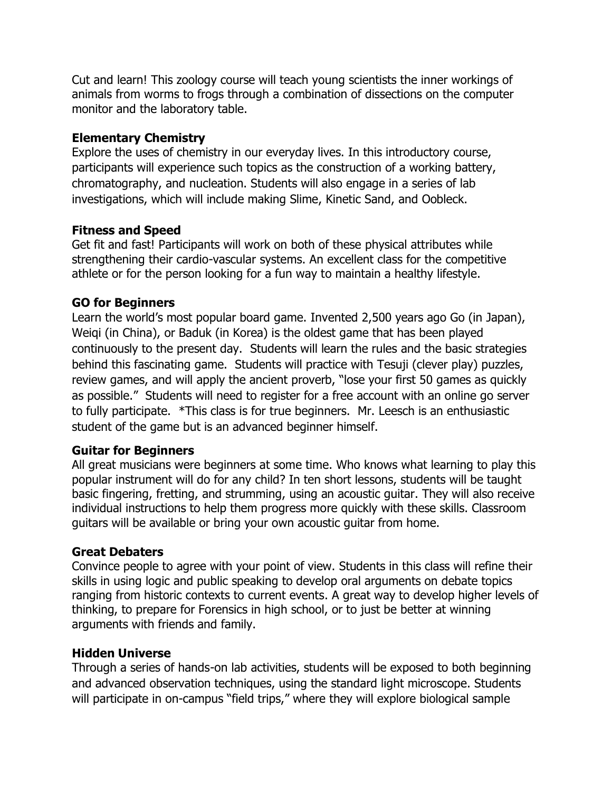Cut and learn! This zoology course will teach young scientists the inner workings of animals from worms to frogs through a combination of dissections on the computer monitor and the laboratory table.

## **Elementary Chemistry**

Explore the uses of chemistry in our everyday lives. In this introductory course, participants will experience such topics as the construction of a working battery, chromatography, and nucleation. Students will also engage in a series of lab investigations, which will include making Slime, Kinetic Sand, and Oobleck.

# **Fitness and Speed**

Get fit and fast! Participants will work on both of these physical attributes while strengthening their cardio-vascular systems. An excellent class for the competitive athlete or for the person looking for a fun way to maintain a healthy lifestyle.

# **GO for Beginners**

Learn the world's most popular board game. Invented 2,500 years ago Go (in Japan), Weiqi (in China), or Baduk (in Korea) is the oldest game that has been played continuously to the present day. Students will learn the rules and the basic strategies behind this fascinating game. Students will practice with Tesuji (clever play) puzzles, review games, and will apply the ancient proverb, "lose your first 50 games as quickly as possible.<sup>"</sup> Students will need to register for a free account with an online go server to fully participate. \*This class is for true beginners. Mr. Leesch is an enthusiastic student of the game but is an advanced beginner himself.

# **Guitar for Beginners**

All great musicians were beginners at some time. Who knows what learning to play this popular instrument will do for any child? In ten short lessons, students will be taught basic fingering, fretting, and strumming, using an acoustic guitar. They will also receive individual instructions to help them progress more quickly with these skills. Classroom guitars will be available or bring your own acoustic guitar from home.

# **Great Debaters**

Convince people to agree with your point of view. Students in this class will refine their skills in using logic and public speaking to develop oral arguments on debate topics ranging from historic contexts to current events. A great way to develop higher levels of thinking, to prepare for Forensics in high school, or to just be better at winning arguments with friends and family.

## **Hidden Universe**

Through a series of hands-on lab activities, students will be exposed to both beginning and advanced observation techniques, using the standard light microscope. Students will participate in on-campus "field trips," where they will explore biological sample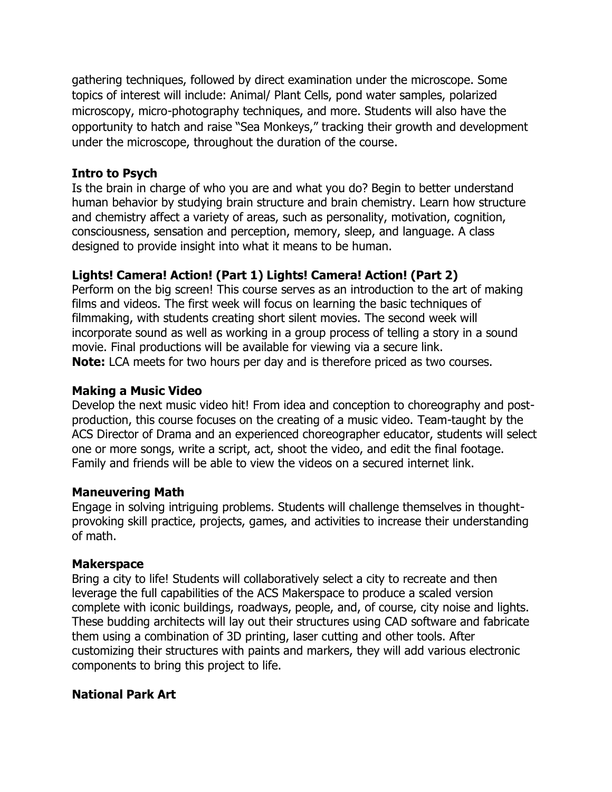gathering techniques, followed by direct examination under the microscope. Some topics of interest will include: Animal/ Plant Cells, pond water samples, polarized microscopy, micro-photography techniques, and more. Students will also have the opportunity to hatch and raise "Sea Monkeys," tracking their growth and development under the microscope, throughout the duration of the course.

#### **Intro to Psych**

Is the brain in charge of who you are and what you do? Begin to better understand human behavior by studying brain structure and brain chemistry. Learn how structure and chemistry affect a variety of areas, such as personality, motivation, cognition, consciousness, sensation and perception, memory, sleep, and language. A class designed to provide insight into what it means to be human.

# **Lights! Camera! Action! (Part 1) Lights! Camera! Action! (Part 2)**

Perform on the big screen! This course serves as an introduction to the art of making films and videos. The first week will focus on learning the basic techniques of filmmaking, with students creating short silent movies. The second week will incorporate sound as well as working in a group process of telling a story in a sound movie. Final productions will be available for viewing via a secure link. **Note:** LCA meets for two hours per day and is therefore priced as two courses.

## **Making a Music Video**

Develop the next music video hit! From idea and conception to choreography and postproduction, this course focuses on the creating of a music video. Team-taught by the ACS Director of Drama and an experienced choreographer educator, students will select one or more songs, write a script, act, shoot the video, and edit the final footage. Family and friends will be able to view the videos on a secured internet link.

## **Maneuvering Math**

Engage in solving intriguing problems. Students will challenge themselves in thoughtprovoking skill practice, projects, games, and activities to increase their understanding of math.

## **Makerspace**

Bring a city to life! Students will collaboratively select a city to recreate and then leverage the full capabilities of the ACS Makerspace to produce a scaled version complete with iconic buildings, roadways, people, and, of course, city noise and lights. These budding architects will lay out their structures using CAD software and fabricate them using a combination of 3D printing, laser cutting and other tools. After customizing their structures with paints and markers, they will add various electronic components to bring this project to life.

## **National Park Art**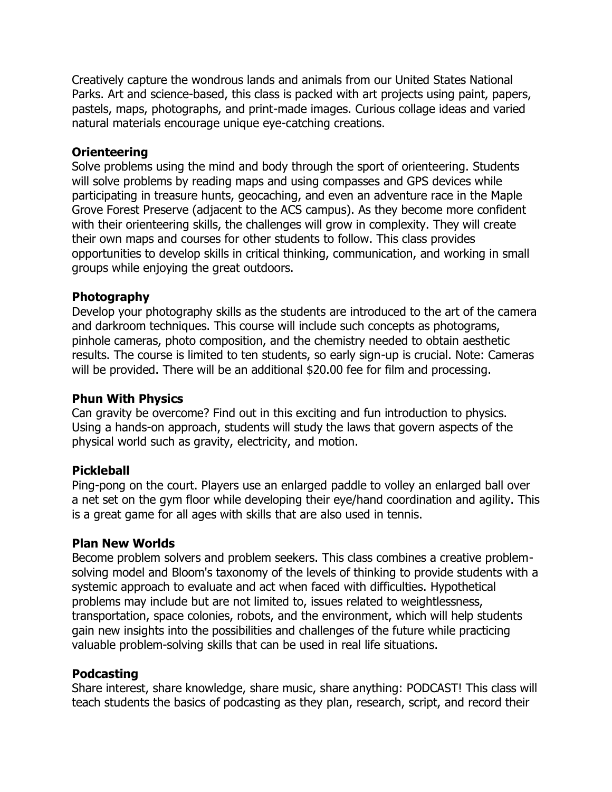Creatively capture the wondrous lands and animals from our United States National Parks. Art and science-based, this class is packed with art projects using paint, papers, pastels, maps, photographs, and print-made images. Curious collage ideas and varied natural materials encourage unique eye-catching creations.

#### **Orienteering**

Solve problems using the mind and body through the sport of orienteering. Students will solve problems by reading maps and using compasses and GPS devices while participating in treasure hunts, geocaching, and even an adventure race in the Maple Grove Forest Preserve (adjacent to the ACS campus). As they become more confident with their orienteering skills, the challenges will grow in complexity. They will create their own maps and courses for other students to follow. This class provides opportunities to develop skills in critical thinking, communication, and working in small groups while enjoying the great outdoors.

#### **Photography**

Develop your photography skills as the students are introduced to the art of the camera and darkroom techniques. This course will include such concepts as photograms, pinhole cameras, photo composition, and the chemistry needed to obtain aesthetic results. The course is limited to ten students, so early sign-up is crucial. Note: Cameras will be provided. There will be an additional \$20.00 fee for film and processing.

#### **Phun With Physics**

Can gravity be overcome? Find out in this exciting and fun introduction to physics. Using a hands-on approach, students will study the laws that govern aspects of the physical world such as gravity, electricity, and motion.

#### **Pickleball**

Ping-pong on the court. Players use an enlarged paddle to volley an enlarged ball over a net set on the gym floor while developing their eye/hand coordination and agility. This is a great game for all ages with skills that are also used in tennis.

#### **Plan New Worlds**

Become problem solvers and problem seekers. This class combines a creative problemsolving model and Bloom's taxonomy of the levels of thinking to provide students with a systemic approach to evaluate and act when faced with difficulties. Hypothetical problems may include but are not limited to, issues related to weightlessness, transportation, space colonies, robots, and the environment, which will help students gain new insights into the possibilities and challenges of the future while practicing valuable problem-solving skills that can be used in real life situations.

#### **Podcasting**

Share interest, share knowledge, share music, share anything: PODCAST! This class will teach students the basics of podcasting as they plan, research, script, and record their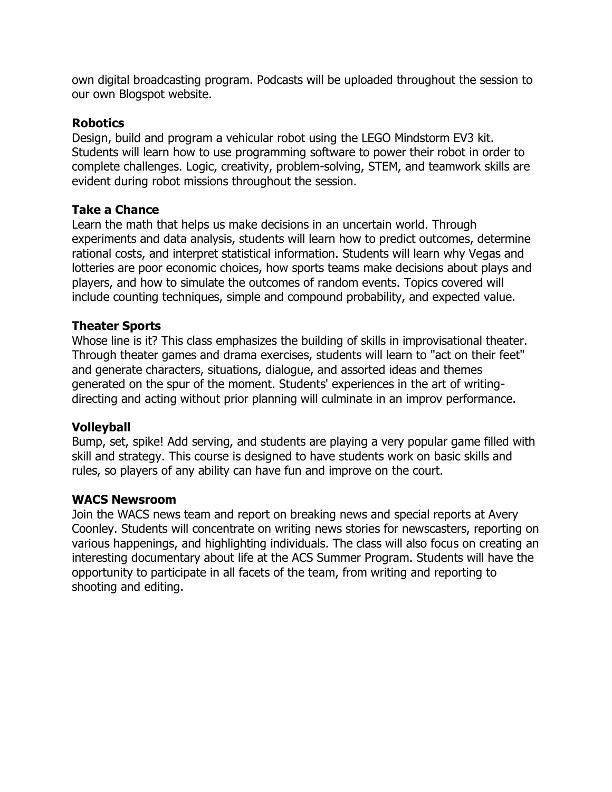own digital broadcasting program. Podcasts will be uploaded throughout the session to our own Blogspot website.

## **Robotics**

Design, build and program a vehicular robot using the LEGO Mindstorm EV3 kit. Students will learn how to use programming software to power their robot in order to complete challenges. Logic, creativity, problem-solving, STEM, and teamwork skills are evident during robot missions throughout the session.

# **Take a Chance**

Learn the math that helps us make decisions in an uncertain world. Through experiments and data analysis, students will learn how to predict outcomes, determine rational costs, and interpret statistical information. Students will learn why Vegas and lotteries are poor economic choices, how sports teams make decisions about plays and players, and how to simulate the outcomes of random events. Topics covered will include counting techniques, simple and compound probability, and expected value.

# **Theater Sports**

Whose line is it? This class emphasizes the building of skills in improvisational theater. Through theater games and drama exercises, students will learn to "act on their feet" and generate characters, situations, dialogue, and assorted ideas and themes generated on the spur of the moment. Students' experiences in the art of writingdirecting and acting without prior planning will culminate in an improv performance.

## **Volleyball**

Bump, set, spike! Add serving, and students are playing a very popular game filled with skill and strategy. This course is designed to have students work on basic skills and rules, so players of any ability can have fun and improve on the court.

## **WACS Newsroom**

Join the WACS news team and report on breaking news and special reports at Avery Coonley. Students will concentrate on writing news stories for newscasters, reporting on various happenings, and highlighting individuals. The class will also focus on creating an interesting documentary about life at the ACS Summer Program. Students will have the opportunity to participate in all facets of the team, from writing and reporting to shooting and editing.